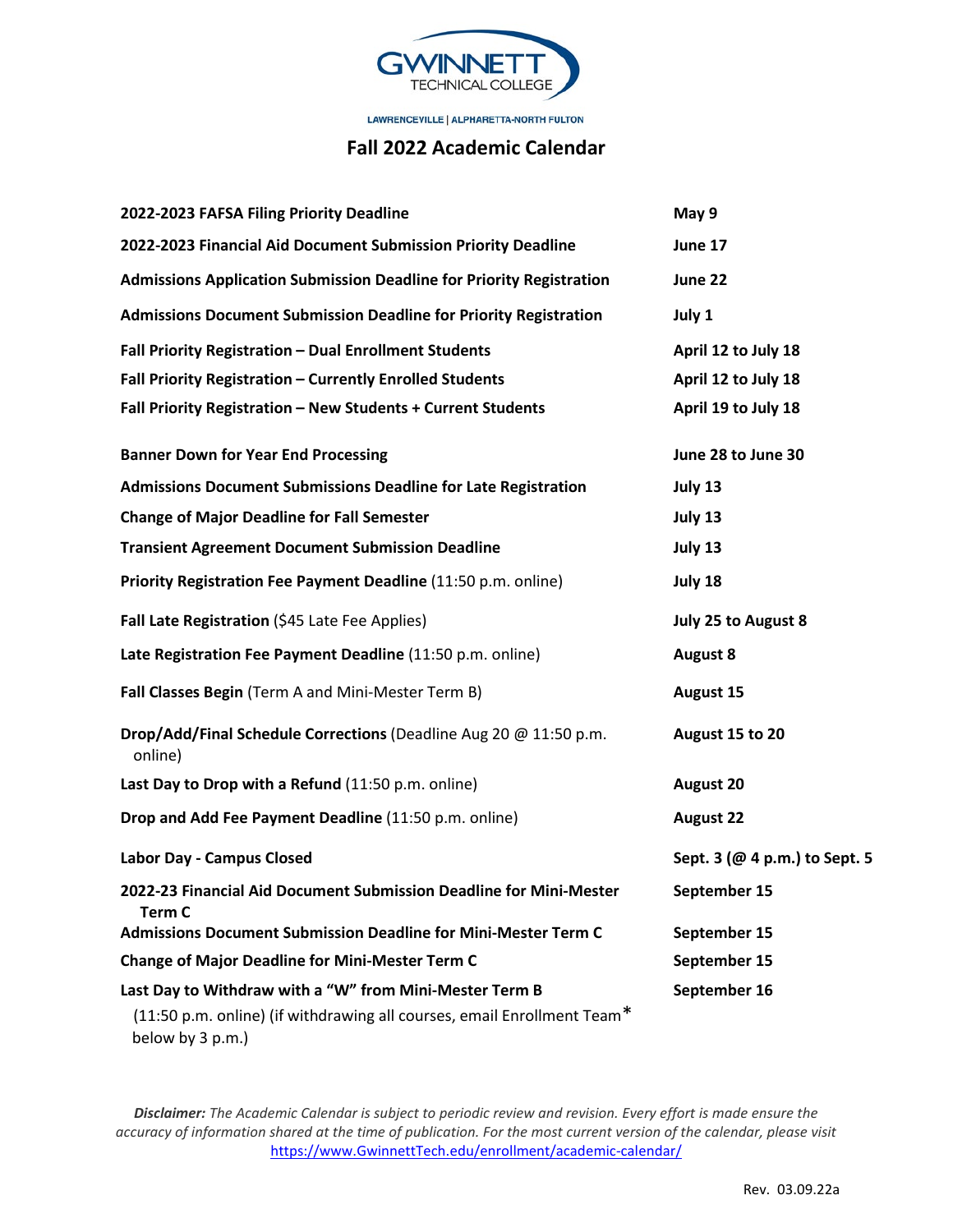

LAWRENCEVILLE [ ALPHARETTA-NORTH FULTON

## **Fall 2022 Academic Calendar**

| 2022-2023 FAFSA Filing Priority Deadline                                                    | May 9                         |
|---------------------------------------------------------------------------------------------|-------------------------------|
| 2022-2023 Financial Aid Document Submission Priority Deadline                               | June 17                       |
| <b>Admissions Application Submission Deadline for Priority Registration</b>                 | June 22                       |
| <b>Admissions Document Submission Deadline for Priority Registration</b>                    | July 1                        |
| Fall Priority Registration - Dual Enrollment Students                                       | April 12 to July 18           |
| Fall Priority Registration - Currently Enrolled Students                                    | April 12 to July 18           |
| Fall Priority Registration - New Students + Current Students                                | April 19 to July 18           |
| <b>Banner Down for Year End Processing</b>                                                  | June 28 to June 30            |
| <b>Admissions Document Submissions Deadline for Late Registration</b>                       | July 13                       |
| <b>Change of Major Deadline for Fall Semester</b>                                           | July 13                       |
| <b>Transient Agreement Document Submission Deadline</b>                                     | July 13                       |
| Priority Registration Fee Payment Deadline (11:50 p.m. online)                              | July 18                       |
| Fall Late Registration (\$45 Late Fee Applies)                                              | July 25 to August 8           |
| Late Registration Fee Payment Deadline (11:50 p.m. online)                                  | <b>August 8</b>               |
| Fall Classes Begin (Term A and Mini-Mester Term B)                                          | <b>August 15</b>              |
| Drop/Add/Final Schedule Corrections (Deadline Aug 20 @ 11:50 p.m.<br>online)                | August 15 to 20               |
| Last Day to Drop with a Refund (11:50 p.m. online)                                          | <b>August 20</b>              |
| Drop and Add Fee Payment Deadline (11:50 p.m. online)                                       | <b>August 22</b>              |
| Labor Day - Campus Closed                                                                   | Sept. 3 (@ 4 p.m.) to Sept. 5 |
| 2022-23 Financial Aid Document Submission Deadline for Mini-Mester<br>Term C                | September 15                  |
| <b>Admissions Document Submission Deadline for Mini-Mester Term C</b>                       | September 15                  |
| <b>Change of Major Deadline for Mini-Mester Term C</b>                                      | September 15                  |
| Last Day to Withdraw with a "W" from Mini-Mester Term B                                     | September 16                  |
| (11:50 p.m. online) (if withdrawing all courses, email Enrollment Team*<br>below by 3 p.m.) |                               |

*Disclaimer: The Academic Calendar is subject to periodic review and revision. Every effort is made ensure the accuracy of information shared at the time of publication. For the most current version of the calendar, please visit*  [https://www.GwinnettTech.edu/enrollment/academic-calendar/](https://www.gwinnetttech.edu/enrollment/academic-calendar/)